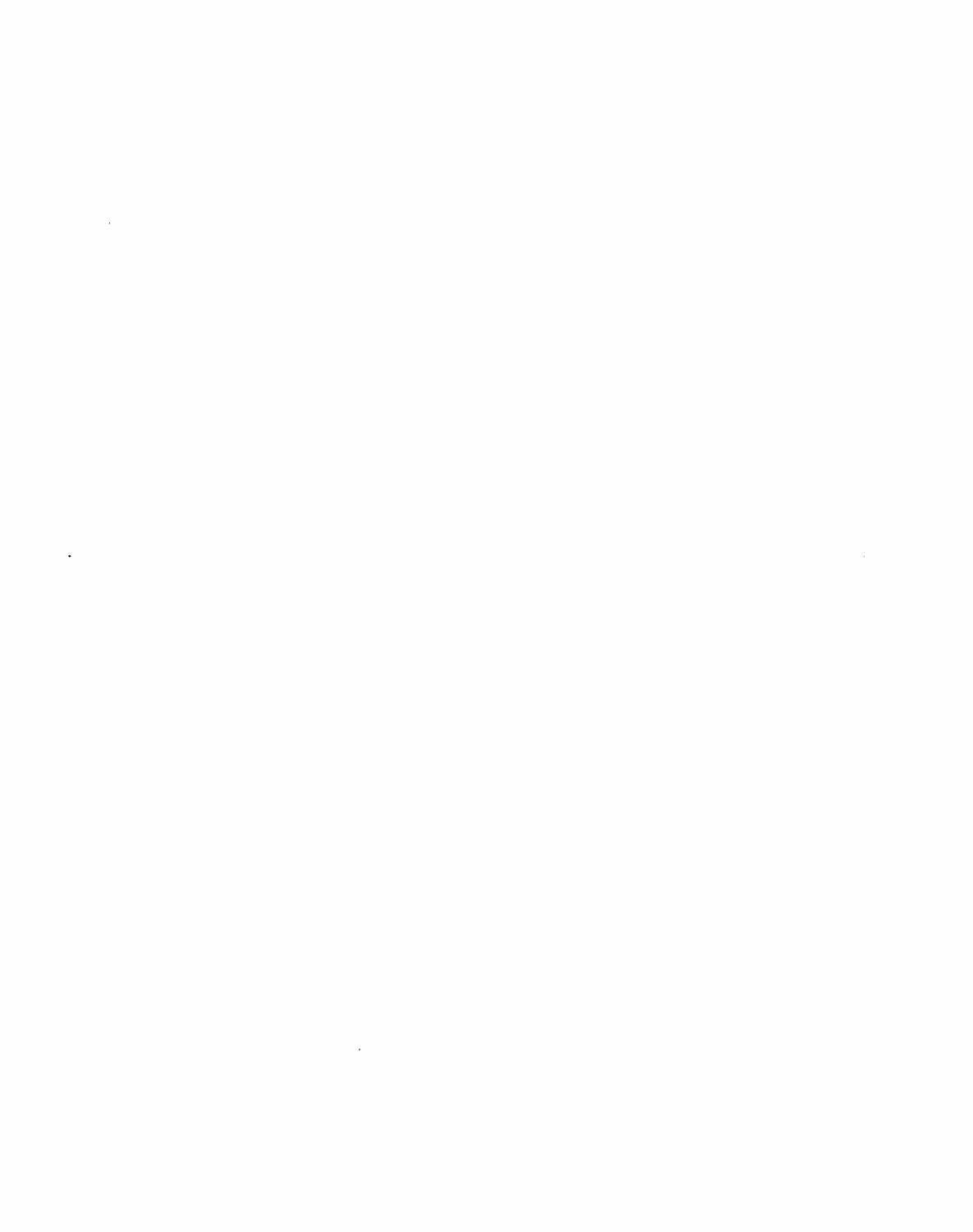$\label{eq:2.1} \frac{1}{2} \int_{\mathbb{R}^3} \frac{1}{\sqrt{2}} \, \frac{1}{\sqrt{2}} \, \frac{1}{\sqrt{2}} \, \frac{1}{\sqrt{2}} \, \frac{1}{\sqrt{2}} \, \frac{1}{\sqrt{2}} \, \frac{1}{\sqrt{2}} \, \frac{1}{\sqrt{2}} \, \frac{1}{\sqrt{2}} \, \frac{1}{\sqrt{2}} \, \frac{1}{\sqrt{2}} \, \frac{1}{\sqrt{2}} \, \frac{1}{\sqrt{2}} \, \frac{1}{\sqrt{2}} \, \frac{1}{\sqrt{2}} \, \frac{1}{\sqrt{2}} \,$  $\Delta \sim 10^{11}$  m  $^{-1}$  $\label{eq:2.1} \frac{1}{\sqrt{2}}\int_{\mathbb{R}^3}\frac{1}{\sqrt{2}}\left(\frac{1}{\sqrt{2}}\right)^2\frac{1}{\sqrt{2}}\left(\frac{1}{\sqrt{2}}\right)^2\frac{1}{\sqrt{2}}\left(\frac{1}{\sqrt{2}}\right)^2.$  $\label{eq:2.1} \frac{1}{\sqrt{2}}\int_{\mathbb{R}^3}\frac{1}{\sqrt{2}}\left(\frac{1}{\sqrt{2}}\right)^2\frac{1}{\sqrt{2}}\left(\frac{1}{\sqrt{2}}\right)^2\frac{1}{\sqrt{2}}\left(\frac{1}{\sqrt{2}}\right)^2\frac{1}{\sqrt{2}}\left(\frac{1}{\sqrt{2}}\right)^2\frac{1}{\sqrt{2}}\left(\frac{1}{\sqrt{2}}\right)^2\frac{1}{\sqrt{2}}\frac{1}{\sqrt{2}}\frac{1}{\sqrt{2}}\frac{1}{\sqrt{2}}\frac{1}{\sqrt{2}}\frac{1}{\sqrt{2}}$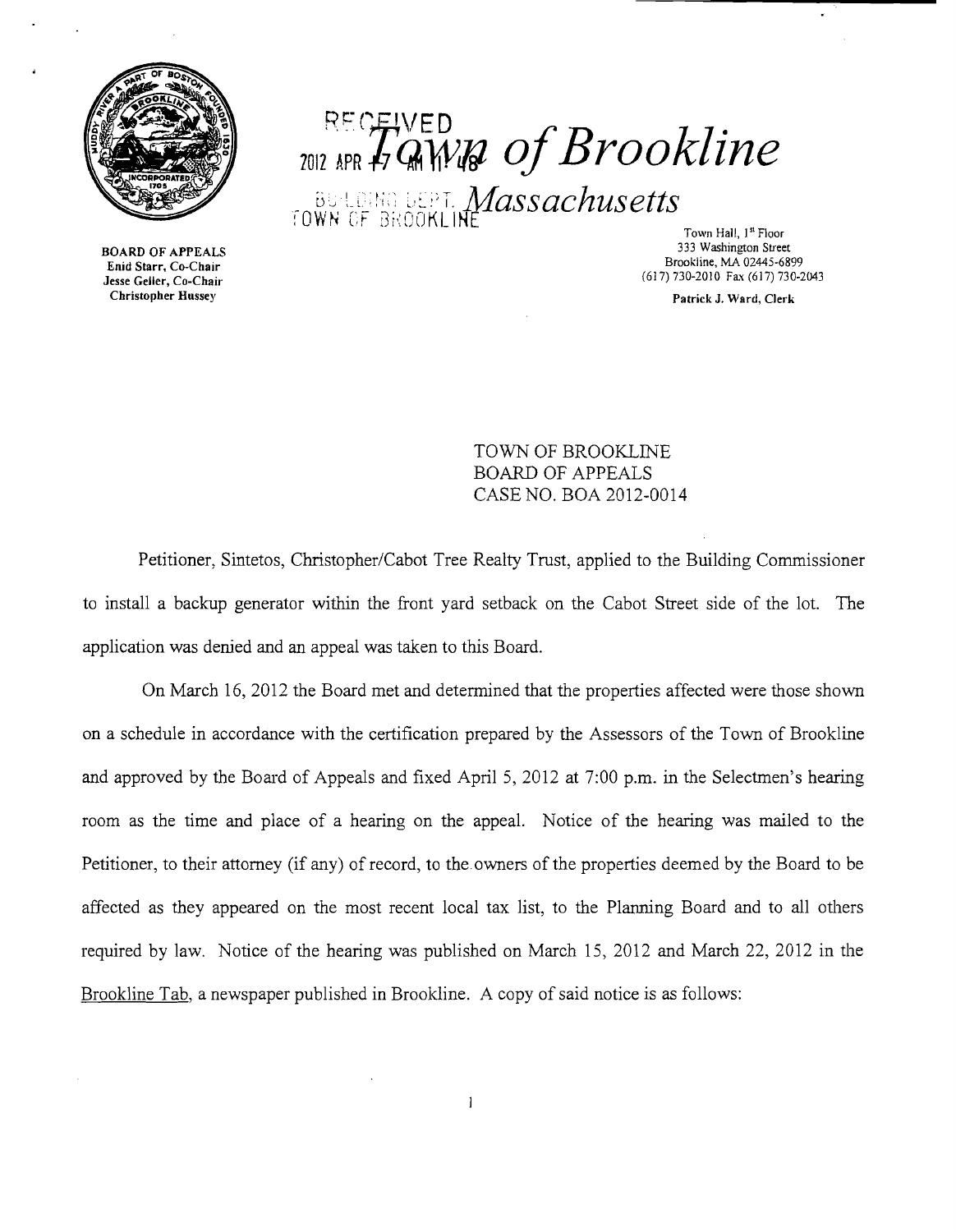

# $R_{\text{F}}^{\text{RECEIVED}}$ <sub>7012</sub> APR MAG *of Brookline*  $\frac{60+0.0001}{2}$  *Massachusetts* :OWN CF [3 <OCJKLINE

BOARD OF APPEALS Enid Starr, Co-Chair Jesse Geller, Co-Chair Christopher Hussey

Town Hall, 1<sup>st</sup> Floor 333 Washington Street Brookline, MA 02445-6899 (617) 730-2010 Fax (617) 730-2043

Patrick J. Ward, Clerk

TOWN OF BROOKLINE BOARD OF APPEALS CASE NO. BOA 2012-0014

Petitioner, Sintetos, Christopher/Cabot Tree Realty Trust, applied to the Building Commissioner to install a backup generator within the front yard setback on the Cabot Street side of the lot. The application was denied and an appeal was taken to this Board.

On March 16,2012 the Board met and determined that the properties affected were those shown on a schedule in accordance with the certification prepared by the Assessors of the Town of Brookline and approved by the Board of Appeals and fixed April 5, 2012 at 7:00 p.m. in the Selectmen's hearing room as the time and place of a hearing on the appeal. Notice of the hearing was mailed to the Petitioner, to their attorney (if any) of record, to the owners of the properties deemed by the Board to be affected as they appeared on the most recent local tax list, to the Planning Board and to all others required by law. Notice of the hearing was published on March 15, 2012 and March 22, 2012 in the Brookline Tab, a newspaper published in Brookline. A copy of said notice is as follows:

 $\mathbf{1}$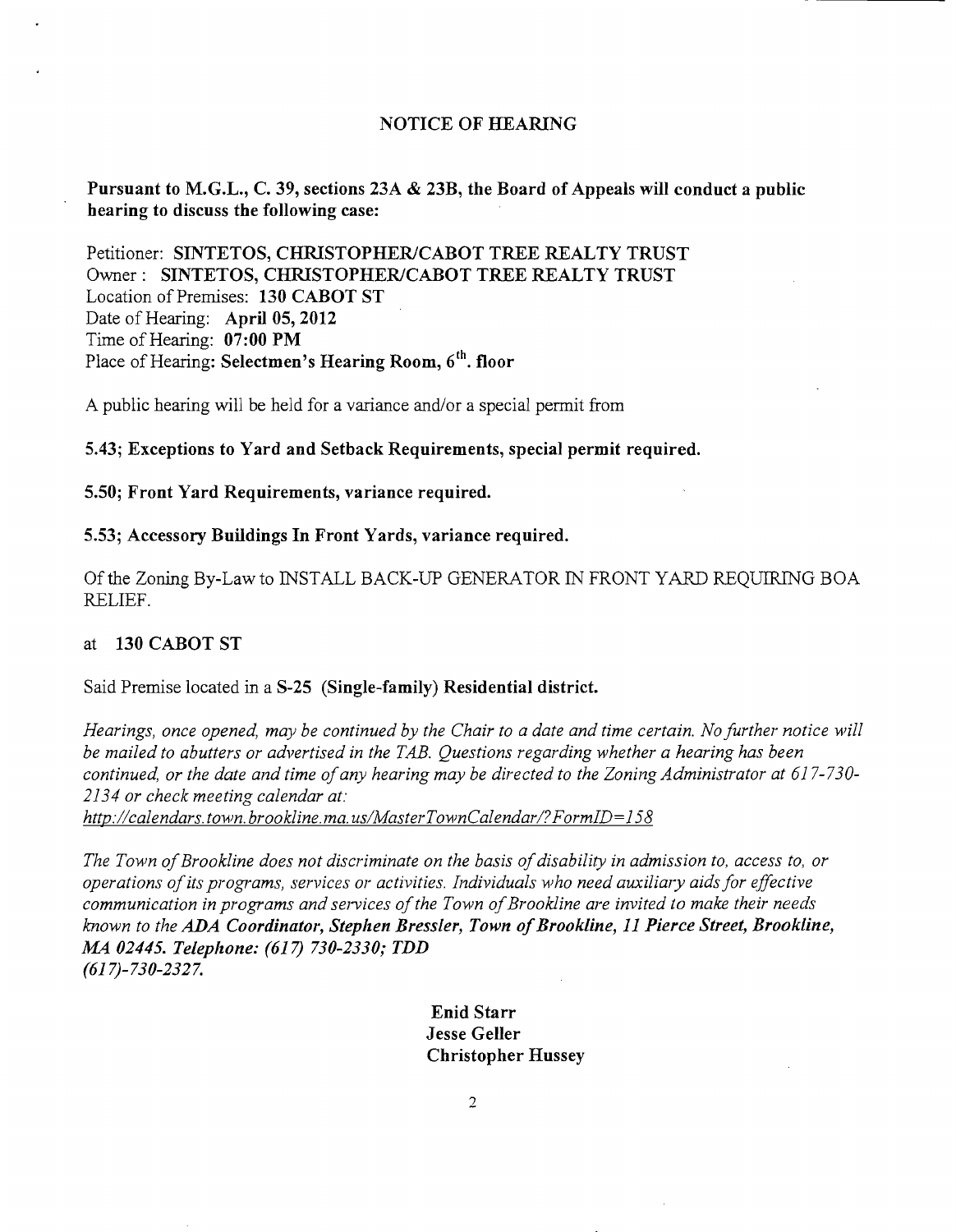# NOTICE OF HEARING

# Pursuant to M.G.L., C. 39, sections 23A & 23B, the Board of Appeals will conduct a public hearing to discuss the following case:

Petitioner: SINTETOS, CHRISTOPHER/CABOT TREE REALTY TRUST Owner: SINTETOS, CHRISTOPHER/CABOT TREE REALTY TRUST Location of Premises: 130 CABOT ST Date of Hearing: April 05, 2012 Time of Hearing: 07:00 PM Place of Hearing: Selectmen's Hearing Room, 6<sup>th</sup>. floor

A public hearing will be held for a variance and/or a special permit from

## 5.43; Exceptions to Yard and Setback Requirements, special permit required.

## 5.50; Front Yard Requirements, variance required.

# 5.53; Accessory Buildings In Front Yards, variance required.

Of the Zoning By-Law to INSTALL BACK-UP GENERATOR IN FRONT YARD REQUIRING BOA RELIEF.

## at 130 CABOT ST

## Said Premise located in a S-25 (Single-family) Residential district.

*Hearings, once opened, may be continued by the Chair to a date and time certain. No further notice will be mailed to abutters or advertised in the TAB. Questions regarding whether a hearing has been continued, or the date and time ofany hearing may be directed to the Zoning Administrator at 617-730 2134 or check meeting calendar at:* 

*http://calendars.town.brookline.ma.usIMasterTownCalendarl?FormID=158* 

The Town of Brookline does not discriminate on the basis of disability in admission to, access to, or *operations ofits programs, services or activities. Individuals who need auxiliary aidsfor effective*  communication in programs and services of the Town of Brookline are invited to make their needs *known to the ADA Coordinator, Stephen Bressler, Town ofBrookline,* 11 *Pierce Street, Brookline, .MA 02445. Telephone:* (617) *730-2330,. TDD (617)-730-2327.* 

> Enid Starr Jesse Geller Christopher Hussey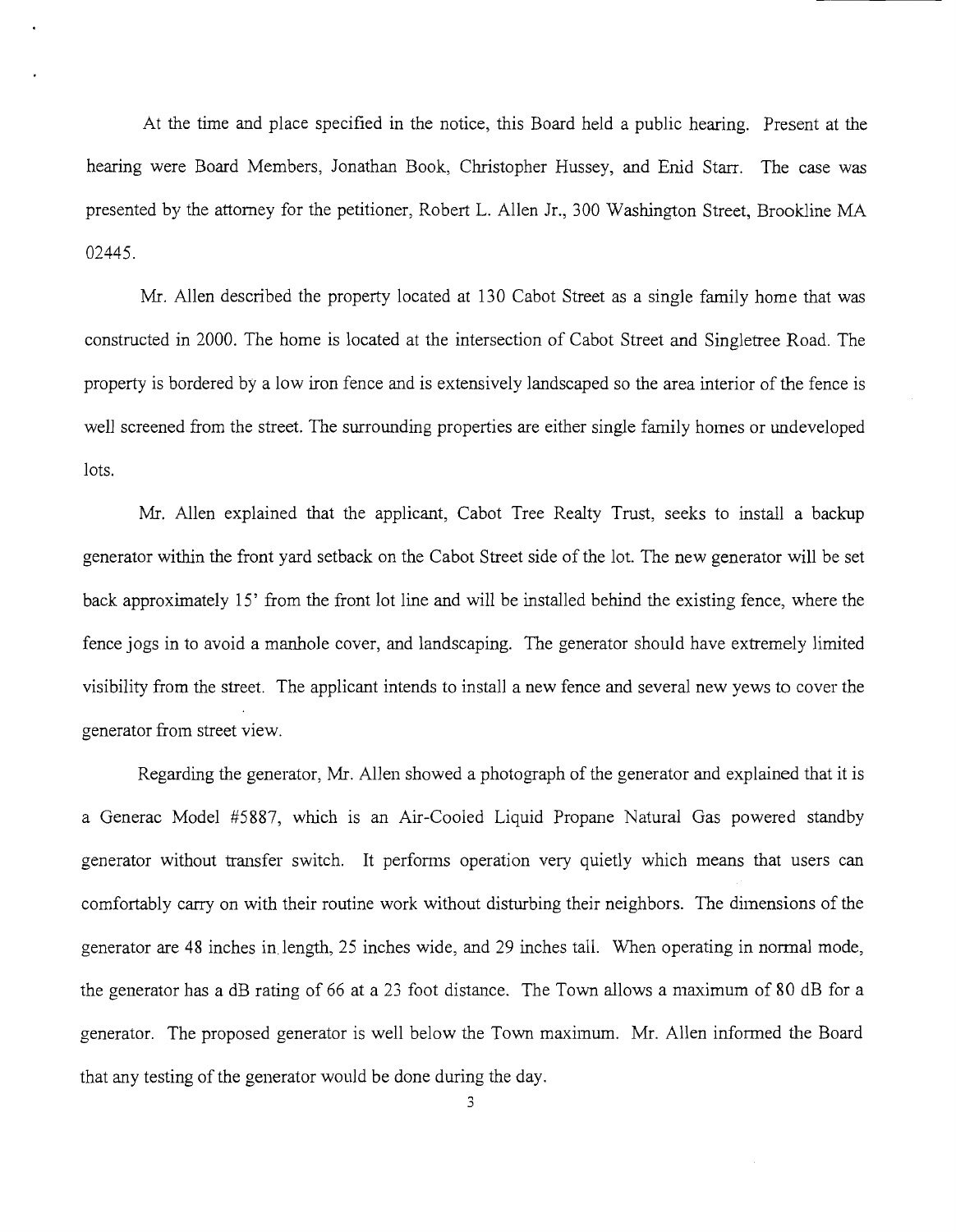At the time and place specified in the notice, this Board held a public hearing. Present at the hearing were Board Members, Jonathan Book, Christopher Hussey, and Enid Starr. The case was presented by the attorney for the petitioner, Robert L. Allen Jr., 300 Washington Street, Brookline MA 02445.

Mr. Allen described the property located at 130 Cabot Street as a single family home that was constructed in 2000. The home is located at the intersection of Cabot Street and Singletree Road. The property is bordered by a low iron fence and is extensively landscaped so the area interior of the fence is well screened from the street. The surrounding properties are either single family homes or undeveloped lots.

Mr. Allen explained that the applicant, Cabot Tree Realty Trust, seeks to install a backup generator within the front yard setback on the Cabot Street side of the lot. The new generator will be set back approximately 15' from the front lot line and will be installed behind the existing fence, where the fence jogs in to avoid a manhole cover, and landscaping. The generator should have extremely limited visibility from the street. The applicant intends to install a new fence and several new yews to cover the generator from street view.

Regarding the generator, Mr. Allen showed a photograph of the generator and explained that it is a Generac Model #5887, which is an Air-Cooled Liquid Propane Natural Gas powered standby generator without transfer switch. It performs operation very quietly which means that users can comfortably carry on with their routine work without disturbing their neighbors. The dimensions of the generator are 48 inches in length, 25 inches wide, and 29 inches tall. When operating in normal mode, the generator has a dB rating of 66 at a 23 foot distance. The Town allows a maximum of 80 dB for a generator. The proposed generator is well below the Town maximum. Mr. Allen informed the Board that any testing of the generator would be done during the day.

3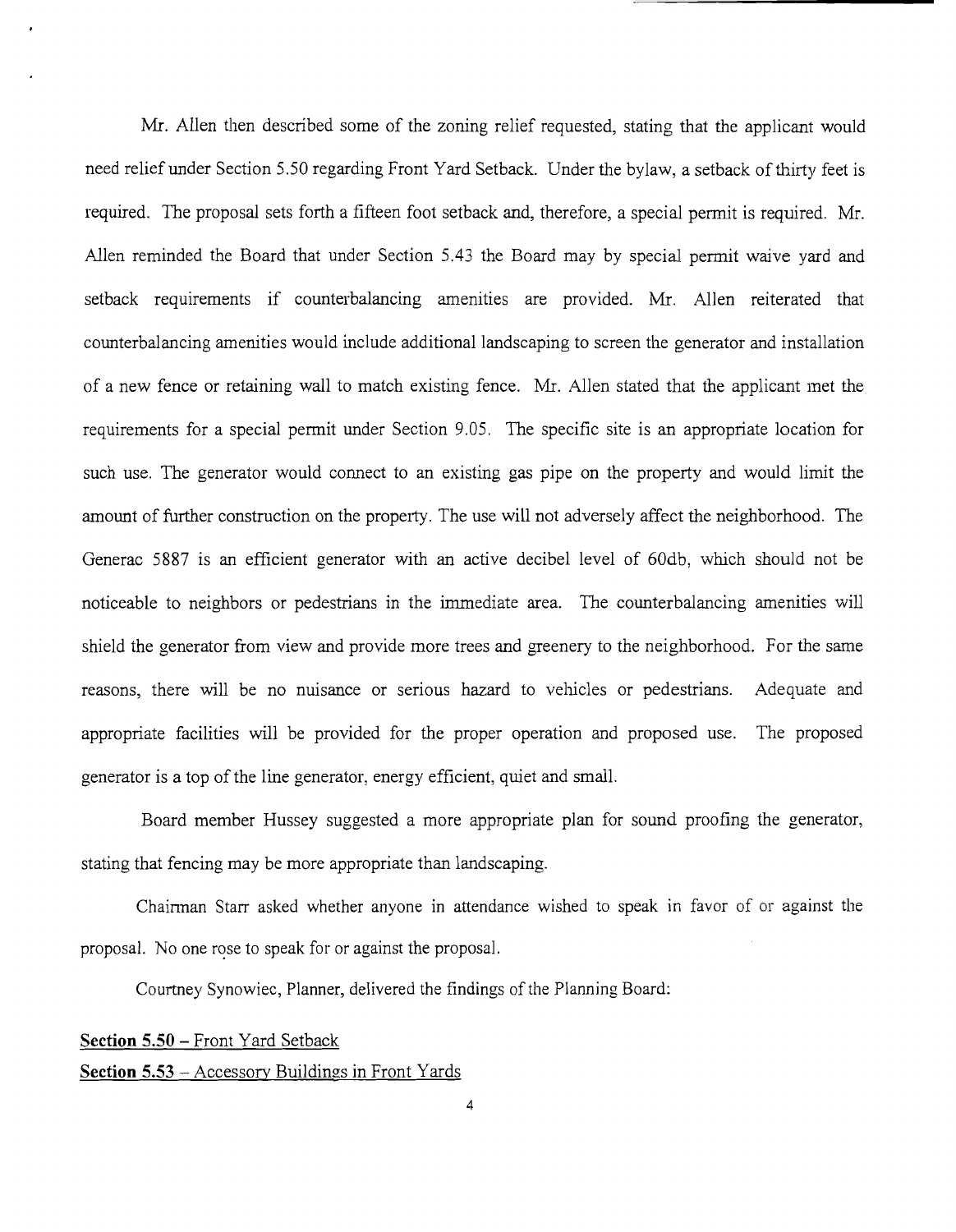Mr. Allen then described some of the zoning relief requested, stating that the applicant would need relief under Section 5.50 regarding Front Yard Setback. Under the bylaw, a setback of thirty feet is required. The proposal sets forth a fifteen foot setback and, therefore, a special permit is required. Mr. Allen reminded the Board that under Section 5.43 the Board may by special permit waive yard and setback requirements if counterbalancing amenities are provided. Mr. Allen reiterated that counterbalancing amenities would include additional landscaping to screen the generator and installation of a new fence or retaining wall to match existing fence. Mr. Allen stated that the applicant met the requirements for a special permit under Section 9.05. The specific site is an appropriate location for such use. The generator would connect to an existing gas pipe on the property and would limit the amount of further construction on the property. The use will not adversely affect the neighborhood. The Generac 5887 is an efficient generator with an active decibel level of 60db, which should not be noticeable to neighbors or pedestrians in the immediate area. The counterbalancing amenities will shield the generator from view and provide more trees and greenery to the neighborhood. For the same reasons, there will be no nuisance or serious hazard to vehicles or pedestrians. Adequate and appropriate facilities will be provided for the proper operation and proposed use. The proposed generator is a top of the line generator, energy efficient, quiet and small.

Board member Hussey suggested a more appropriate plan for sound proofing the generator, stating that fencing may be more appropriate than landscaping.

Chairman Starr asked whether anyone in attendance wished to speak in favor of or against the proposal. No one rose to speak for or against the proposal.

Courtney Synowiec, Planner, delivered the findings of the Planning Board:

# **Section 5.50 -** Front Yard Setback **Section 5.53** - Accessory Buildings in Front Yards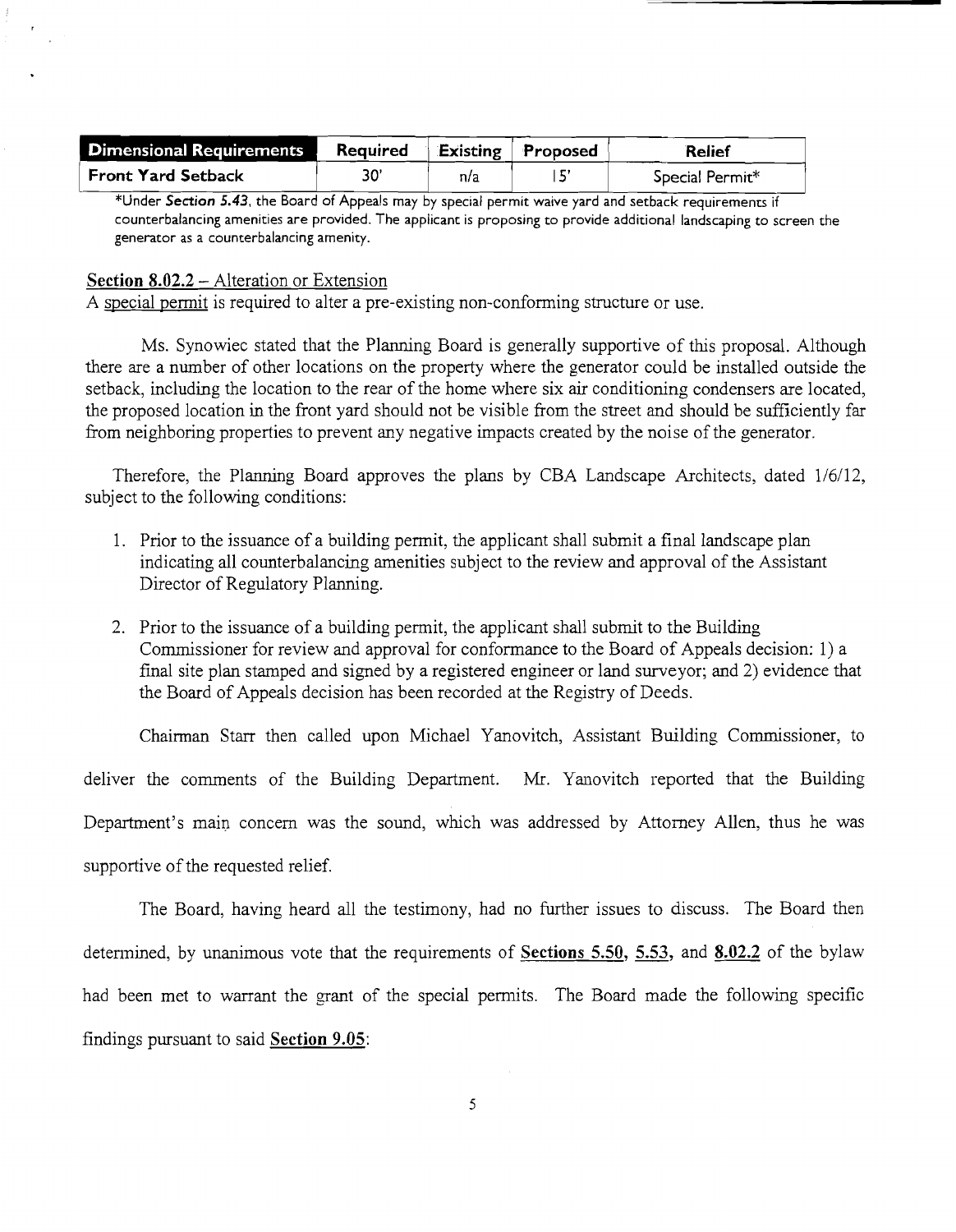| Dimensional Requirements  | <b>Required Existing Proposed</b> |     | <b>Relief</b>   |
|---------------------------|-----------------------------------|-----|-----------------|
| <b>Front Yard Setback</b> | 30'                               | n/a | Special Permit* |

\*Under *Section* **5.43,** the Board of Appeals may by special permit waive yard and setback requirements if counterbalancing amenities are provided. The applicant is proposing to provide additional landscaping to screen the generator as a counterbalancing amenity.

## **Section 8.02.2** - Alteration or Extension

A special permit is required to alter a pre-existing non-conforming structure or use.

Ms. Synowiec stated that the Planning Board is generally supportive of this proposal. Although there are a number of other locations on the property where the generator could be installed outside the setback, including the location to the rear of the home where six air conditioning condensers are located, the proposed location in the front yard should not be visible from the street and should be sufficiently far from neighboring properties to prevent any negative impacts created by the noise of the generator.

Therefore, the Planning Board approves the plans by CBA Landscape Architects, dated 1/6112, subject to the following conditions:

- 1. Prior to the issuance of a building permit, the applicant shall submit a final landscape plan indicating all counterbalancing amenities subject to the review and approval of the Assistant Director of Regulatory Planning.
- 2. Prior to the issuance of a building permit, the applicant shall submit to the Building Commissioner for review and approval for conformance to the Board of Appeals decision: 1) a fmal site plan stamped and signed by a registered engineer or land surveyor; and 2) evidence that the Board of Appeals decision has been recorded at the Registry of Deeds.

Chairman Starr then called upon Michael Yanovitch, Assistant Building Commissioner, to deliver the comments of the Building Department. Mr. Yanovitch reported that the Building Department's main concern was the sound, which was addressed by Attorney Allen, thus he was supportive of the requested relief.

The Board, having heard all the testimony, had no further issues to discuss. The Board then detennined, by unanimous vote that the requirements of **Sections 5.50, 5.53,** and **8.02.2** of the bylaw had been met to warrant the grant of the special permits. The Board made the following specific findings pursuant to said **Section 9.05:**